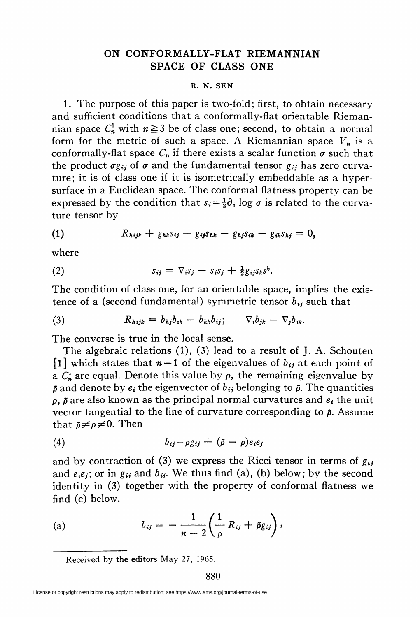## ON CONFORMALLY-FLAT RIEMANNIAN SPACE OF CLASS ONE

## R. N. SEN

1. The purpose of this paper is two-fold; first, to obtain necessary and sufficient conditions that a conformally-flat orientable Riemannian space  $C_n^1$  with  $n \ge 3$  be of class one; second, to obtain a normal form for the metric of such a space. A Riemannian space  $V_n$  is a conformally-flat space  $C_n$  if there exists a scalar function  $\sigma$  such that the product  $\sigma g_{ij}$  of  $\sigma$  and the fundamental tensor  $g_{ij}$  has zero curvature; it is of class one if it is isometrically embeddable as a hypersurface in a Euclidean space. The conformal flatness property can be expressed by the condition that  $s_i = \frac{1}{2}\partial_i \log \sigma$  is related to the curvature tensor by

$$
(1) \hspace{1cm} R_{hijk} + g_{hk}s_{ij} + g_{ij}s_{hk} - g_{hj}s_{ik} - g_{ik}s_{hj} = 0,
$$

where

$$
(2) \t\t s_{ij} = \nabla_i s_j - s_i s_j + \tfrac{1}{2} g_{ij} s_k s^k.
$$

The condition of class one, for an orientable space, implies the existence of a (second fundamental) symmetric tensor  $b_{ij}$  such that

(3) 
$$
R_{hijk} = b_{hj}b_{ik} - b_{hk}b_{ij}; \qquad \nabla_i b_{jk} - \nabla_j b_{ik}.
$$

The converse is true in the local sense.

The algebraic relations (1), (3) lead to a result of J. A. Schouten [1] which states that  $n-1$  of the eigenvalues of  $b_{ij}$  at each point of a  $C^1_n$  are equal. Denote this value by  $\rho$ , the remaining eigenvalue by  $\tilde{\rho}$  and denote by  $e_i$ , the eigenvector of  $b_{ij}$  belonging to  $\tilde{\rho}$ . The quantities  $\rho$ ,  $\tilde{\rho}$  are also known as the principal normal curvatures and  $e_i$  the unit vector tangential to the line of curvature corresponding to  $\tilde{\rho}$ . Assume that  $\tilde{\rho} \neq \rho \neq 0$ . Then

$$
(4) \t\t\t b_{ij} = \rho g_{ij} + (\tilde{\rho} - \rho)e_i e_j
$$

and by contraction of (3) we express the Ricci tensor in terms of  $g_{ij}$ and  $e_i e_j$ ; or in  $g_{ij}$  and  $b_{ij}$ . We thus find (a), (b) below; by the second identity in (3) together with the property of conformal flatness we find (c) below.

(a) 
$$
b_{ij} = -\frac{1}{n-2} \left( \frac{1}{\rho} R_{ij} + \tilde{\rho} g_{ij} \right),
$$

Received by the editors May 27, 1965.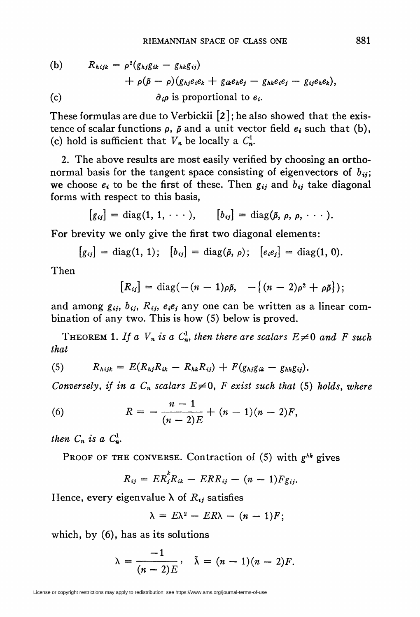(b) 
$$
R_{hijk} = \rho^2 (g_{hj}g_{ik} - g_{hk}g_{ij})
$$

$$
+ \rho(\tilde{\rho} - \rho)(g_{hj}e_ie_k + g_{ik}e_he_j - g_{hk}e_ie_j - g_{ij}e_he_k),
$$
  
(c) 
$$
\partial_i \rho \text{ is proportional to } e_i.
$$

These formulas are due to Verbickii [2 ]; he also showed that the existence of scalar functions  $\rho$ ,  $\tilde{\rho}$  and a unit vector field  $e_i$  such that (b), (c) hold is sufficient that  $V_n$  be locally a  $C_n^1$ .

2. The above results are most easily verified by choosing an orthonormal basis for the tangent space consisting of eigenvectors of  $b_{ij}$ ; we choose  $e_i$  to be the first of these. Then  $g_{ij}$  and  $b_{ij}$  take diagonal forms with respect to this basis,

$$
[g_{ij}] = \text{diag}(1, 1, \cdots), \qquad [b_{ij}] = \text{diag}(\tilde{\rho}, \rho, \rho, \cdots).
$$

For brevity we only give the first two diagonal elements:

$$
[g_{ij}] = diag(1, 1); [b_{ij}] = diag(\tilde{\rho}, \rho); [e_i e_j] = diag(1, 0).
$$

Then

$$
[R_{ij}] = \text{diag}(-(n-1)\rho\tilde{\rho}, -\{(n-2)\rho^2 + \rho\tilde{\rho}\});
$$

and among  $g_{ij}$ ,  $b_{ij}$ ,  $R_{ij}$ ,  $e_i e_j$  any one can be written as a linear combination of any two. This is how (5) below is proved.

THEOREM 1. If a  $V_n$  is a  $C_n^1$ , then there are scalars  $E\neq 0$  and F such that

(5) 
$$
R_{hijk} = E(R_{hj}R_{ik} - R_{hk}R_{ij}) + F(g_{hj}g_{ik} - g_{hk}g_{ij}).
$$

Conversely, if in a  $C_n$  scalars  $E\neq 0$ , F exist such that (5) holds, where

(6) 
$$
R = -\frac{n-1}{(n-2)E} + (n-1)(n-2)F,
$$

then  $C_n$  is a  $C_n^1$ .

PROOF OF THE CONVERSE. Contraction of  $(5)$  with  $g^{hk}$  gives

$$
R_{ij}=ER_j^kR_{ik}-ERR_{ij}-(n-1)F_{g_{ij}}.
$$

Hence, every eigenvalue  $\lambda$  of  $R_{ij}$  satisfies

$$
\lambda = E\lambda^2 - ER\lambda - (n-1)F;
$$

which, by (6), has as its solutions

$$
\lambda=\frac{-1}{(n-2)E}, \quad \tilde{\lambda}=(n-1)(n-2)F.
$$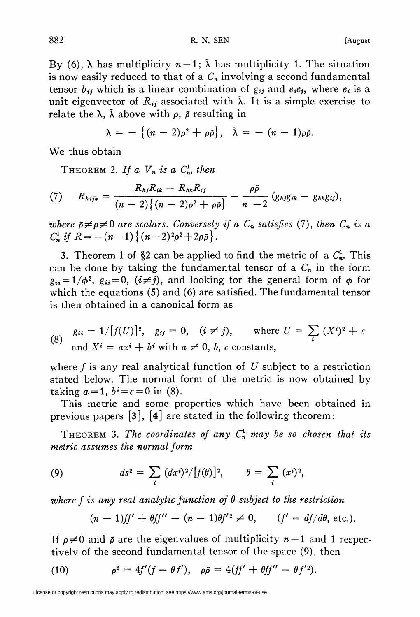By (6),  $\lambda$  has multiplicity  $n-1$ ;  $\tilde{\lambda}$  has multiplicity 1. The situation is now easily reduced to that of a  $C_n$  involving a second fundamental tensor  $b_{ij}$  which is a linear combination of  $g_{ij}$  and  $e_i e_j$ , where  $e_i$  is a unit eigenvector of  $R_{ij}$  associated with  $\lambda$ . It is a simple exercise to relate the  $\lambda$ ,  $\bar{\lambda}$  above with  $\rho$ ,  $\bar{\rho}$  resulting in

$$
\lambda = -\left\{(n-2)\rho^2 + \rho\tilde{\rho}\right\}, \quad \tilde{\lambda} = -\left(n-1\right)\rho\tilde{\rho}.
$$

We thus obtain

THEOREM 2. If a  $V_n$  is a  $C_n^1$ , then

(7) 
$$
R_{hijk} = \frac{R_{hj}R_{ik} - R_{hk}R_{ij}}{(n-2)\{(n-2)\rho^2 + \rho\tilde{\rho}\}} - \frac{\rho\tilde{\rho}}{n-2} (g_{hj}g_{ik} - g_{hk}g_{ij}),
$$

where  $\tilde{p} \neq p \neq 0$  are scalars. Conversely if a  $C_n$  satisfies (7), then  $C_n$  is a  $C_n^1$  if  $R = -(n-1)\{(n-2)^2\rho^2 + 2\rho\tilde{\rho}\}.$ 

3. Theorem 1 of §2 can be applied to find the metric of a  $C_n^1$ . This can be done by taking the fundamental tensor of a  $C_n$  in the form  $g_{ii} = 1/\phi^2$ ,  $g_{ij} = 0$ ,  $(i \neq j)$ , and looking for the general form of  $\phi$  for which the equations (5) and (6) are satisfied. The fundamental tensor is then obtained in a canonical form as

(8) 
$$
g_{ii} = 1/[f(U)]^2
$$
,  $g_{ij} = 0$ ,  $(i \neq j)$ , where  $U = \sum_i (X^i)^2 + c$  and  $X^i = ax^i + b^i$  with  $a \neq 0$ ,  $b$ ,  $c$  constants,

where  $f$  is any real analytical function of U subject to a restriction stated below. The normal form of the metric is now obtained by taking  $a = 1$ ,  $b^i = c = 0$  in (8).

This metric and some properties which have been obtained in previous papers [3], [4] are stated in the following theorem:

THEOREM 3. The coordinates of any  $C_n^1$  may be so chosen that its metric assumes the normal form

(9) 
$$
ds^{2} = \sum_{i} (dx^{i})^{2} / [f(\theta)]^{2}, \qquad \theta = \sum_{i} (x^{i})^{2},
$$

where f is any real analytic function of  $\theta$  subject to the restriction

$$
(n-1)ff' + \theta ff'' - (n-1)\theta f'^2 \neq 0, \qquad (f' = df/d\theta, \text{ etc.}).
$$

If  $\rho \neq 0$  and  $\bar{\rho}$  are the eigenvalues of multiplicity  $n - 1$  and 1 respectively of the second fundamental tensor of the space (9), then

(10) 
$$
\rho^2 = 4f'(f - \theta f'), \quad \rho \tilde{\rho} = 4(ff' + \theta ff'' - \theta f'^2).
$$